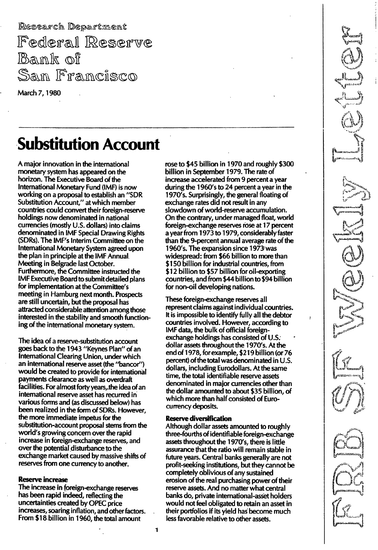Research Department Federal Reserve Bank of San Francisco

March 7, 1980

# **Substitution Account**

A major innovation in the international monetary system has appeared on the horizon. The Executive Board of the International Monetary Fund (IMF) is now working on a proposal to establish an "SDR Substitution Account," at which member countries could convert their foreign-reserve holdings now denominated in national currencies (mostly U.S. dollars) into claims denominated in IMF Special Drawing Rights (SDRs). The IMF's Interim Committee on the International Monetary System agreed upon the plan in principle at the IMF Annual. Meeting in Belgrade last October. Furthermore, the Committee instructed the IMF Executive Board to submit detailed plans for implementation at the Committee's meeting in Hamburg next month. Prospects are still uncertain, but the proposal has attracted considerable attention among those interested in the stability and smooth functioning of the international monetary system.

The idea of a reserve-substitution account goes back to the 1 943 "Keynes Plan" of an International Clearing Union, under which an international reserve asset (the "bancor") would be created to provide for international payments clearance as well as overdraft facilities. For almost forty years, the idea of an international reserve asset has recurred in various forms and (as discussed below) has been realized in the form of SDRs. However, the more immediate impetus for the substitution-account proposal stems from the world's growing concern over the rapid increase in foreign-exchange reserves, and over the potential disturbance to the exchange market caused by massive shifts of reserves from one currency to another.

## Reserve increase

The increase in foreign-exchange reserves has been rapid indeed, reflecting the uncertainties created by OPEC price increases, soaring inflation, and other factors. From \$18 billion in 1960, the total amount

rose to \$45 billion in 1970 and roughly \$300 billion in September 1979. The rate of increase accelerated from 9 percent a year during the 1 960's to 24 percent a year in the 1 970's. Surprisingly, the general floating of exchange rates did not result in any slowdown of world-reserve accumulation. On the contrary, under managed float, world foreign-exchange reserves rose at 17 percent a year from 1973 to 1979, considerably faster than the 9-percent annual average rate of the 1960's. The expansion since 1973:was widespread: from \$66 billion to more than \$150 billion for industrial countries, from \$12 billion to \$57 billion for oil-exporting countries, and from \$44 billion to \$94 billion for non-oil developing nations.

These foreign-exchange reserves all represent claims against individual countries. It is impossible to identify fully all the debtor countries involved. However, according to IMF data, the bulk of official foreignexchange holdings has consisted of U.S. dollar assets throughout the 1 970's. At the end of 1978, for example, \$219 billion (or 76 percent) of the total was denominated in U.S. dollars, including Eurodollars. At the same time, the total identifiable reserve assets denominated in major currencies other than the dollar amounted to about \$35 billion, of which more than half consisted of Eurocurrency deposits.

### Reserve diversification

Although dollar assets amounted to roughly three-fourths of identifiable foreign-exchange assets throughout the 1970's, there is little assurance that the ratio will remain stable in future years. Central banks generally are not profit-seeking institutions, but they cannot be completely oblivious of any sustained erosion of the real purchasing power of their reserve assets. And no matter what central banks do, private international-asset holders would not feel obligated to retain an asset in their portfolios if its yield has become much less favorable relative to other assets.

 $\cdot$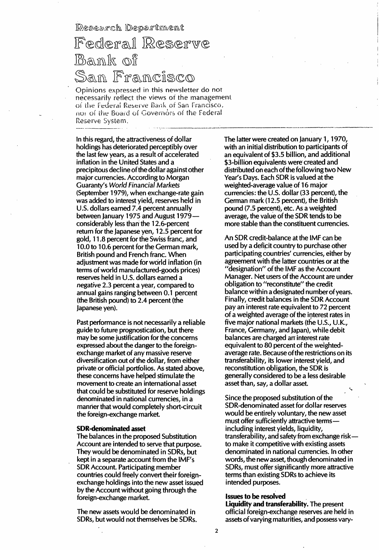Research Department

# Federal Reserve Bank of <u>San Francisco</u>

Opinions expressed in this newsletter do not necessarily reflect the views of the management of the Federal Reserve Bank of San Francisco, nor of the Board of Governors of the Federal Reserve System.

In this regard, the attractiveness of dollar holdings has deteriorated perceptibly over the last few years, as a result of accelerated inflation in the United States and a precipitous decline of the dollar against other major currencies. According to Morgan Guaranty's World Financial Markets (September 1979), when exchange-rate gain was added to interest yield, reserves held in U.s. dollars earned 7.4 percent annually between January 1975 and August 1979considerably less than the 1 2.6-percent return for the Japanese yen, 12.5 percent for gold, 1 1.8 percent for the Swiss franc, and 10.0 to 10.6 percent for the German mark, British pound and French franc. When adjustment was made for world inflation (in terms of world manufactured-goods prices) reserves held in U.S. dollars earned a negative 2.3 percent a year, compared to annual gains ranging between 0.1 percent (the British pound) to 2.4 percent (the japanese yen).

Past performance is not necessarily a reliable guide to future prognostication, but there may be some justification for the concerns expressed about the danger to the foreignexchange market of any massive reserve diversification out of the dollar, from either private or official portfolios. As stated above, these concerns have helped stimulate the movement to create an international asset that could be substituted for reserve holdings denominated in national currencies, in a manner that would completely short-circuit the foreign-exchange market.

### SDR-denominated asset

The balances in the proposed Substitution Account are intended to serve that purpose. They would be denominated in SDRs, but kept in a separate account from the IMF's SDR Account. Participating member countries could freely convert their foreignexchange holdings into the new asset issued by the Account without going through the foreign-exchange market.

The new assets would be denominated in SDRs, but would not themselves be SDRs. The latter were created on January 1, 1970, with an initial distribution to participants of an equivalent of \$3.5 billion, and additional \$3-billion equivalents were created and distributed on each of the following two New Year's Days. Each SDR is valued at the weighted-average value of 16 major currencies: the U.S. dollar (33 percent), the German mark (12.5 percent), the British pound (7.5 percent), etc. As a weighted average, the value of the SDR tends to be more stable than the constituent currencies.

An SDR credit-balance at the IMF can be used by a deficit country to purchase other participating countries' currencies, either by agreement with the latter countries or at the "designation" of the IMF as the Account Manager. Net users of the Account are under obligation to "reconstitute" the credit balance within a designated number of years. Finally, credit balances in the SDR Account pay an interest rate equivalent to 72 percent of a weighted average of the interest rates in five major national markets (the U.S., U.K., France, Germany, and japan), while debit balances are charged an interest rate equivalent to 80 percent of the weightedaverage rate. Because of the restrictions on its transferability, its lower interest yield, and reconstitution obligation, the SDR is generally considered to be a less desirable asset than, say, a dollar asset.

Since the proposed substitution of the SDR-denominated asset for dollar reserves would be entirely voluntary, the new asset must offer sufficiently attractive termsincluding interest yields, liquidity, transferability, and safety from exchange riskto make it competitive with existing assets denominated in national currencies. In other words, the new asset, though denominated in SDRs, must offer significantly more attractive terms than existing SDRs to achieve its intended purposes.

### Issues to be resolved

Liquidity and transferability. The present official foreign-exchange reserves are held in assets of varying maturities, and possess vary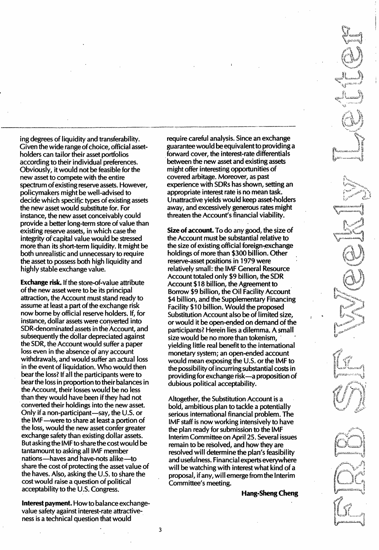ing degrees of liquidity and transferability. Given the wide range of choice, official assetholders can tailor their asset portfolios according to their individual preferences. Obviously, it would not be feasible for the new asset to compete with the entire spectrum of existing reserve assets. However, policymakers might be well-advised to decide which specific types of existing assets the new asset would substitute for. For instance, the new asset conceivably could provide a better long-term store of value than existing reserve assets, in which case the integrity of'capital value would be stressed more than its short-term liquidity. It might be both unrealistic and unnecessary to require the asset to possess both high liquidity and highly stable exchange value.

Exchange risk. If the store-of-value attribute of the new asset were to be its principal attraction, the Account must stand ready to assume at least a part of the exchange risk now borne by official reserve holders. If, for instance, dollar assets were converted into SOR-denominated assets in the Account, and subsequently the dollar depreciated against the SOR, the Account would suffer a paper loss even in the absence of any account withdrawals, and would suffer an actual loss in the event of liquidation. Who would then bear the loss? If all the participants were to bear the loss in proportion to their balances in the Account, their losses would be no less than they would have been if they had not converted their holdings into the new asset. Only if a non-participant—say, the U.S. or the IMF-were to share at least a portion of the loss, would the new asset confer greater exchange safety than existing dollar assets. But asking the IMF to share the cost would be tantamount to asking all IMF member nations-haves and have-nots alike-to share the cost of protecting the asset value of the haves. Also, asking the U.S. to share the cost would raise a question of political acceptability to the U.S. Congress.

Interest payment. How to balance exchangevalue safety against interest-rate attractiveness is a technical question that would

require careful analysis. Since an exchange guarantee would be equivalent to providing a forward cover, the interest-rate differentials between the new asset and existing assets might offer interesting opportunities of covered arbitage. Moreover, as past experience with SORs has shown, setting an appropriate interest rate is no mean task. Unattractive yields would keep asset-holders away, and excessively generous rates might threaten the Account's financial viability.

Size of account.To do any good, the size of the Account must be substantial relative to the size of existing official foreign-exchange holdings of more than \$300 billion. Other reserve-asset positions in 1979 were relatively small: the IMF General Resource Account totaled only \$9 billion, the SOR Account \$18 billion, the Agreement to Borrow \$9 billion, the Oil Facility Account \$4 billion, and the Supplementary Financing Facility \$10 billion. Would the proposed Substitution Account also be of limited size, or would it be open-ended on demand of the participants? Herein lies a dilemma. A small size would be no more than tokenism, . yielding little real benefit to the international monetary system; an open-ended account would mean exposing the U.S. or the IMF to the possibility of incurring substantial costs in providing for exchange risk-a proposition of dubious political acceptability.

Altogether, the Substitution Account is a bold, ambitious plan to tackle a potentially serious international financial problem. The IMF staff is now working intensively to have the plan ready for submission to the IMF Interim Committee on April 25.Several issues remain to be resolved, and how they are resolved will determine the plan's feasibility and usefulness. Financial experts everywhere will be watching with interest what kind of a proposal, if any, will emerge from the Interim Committee's meeting.

Hang-Sheng Cheng



3